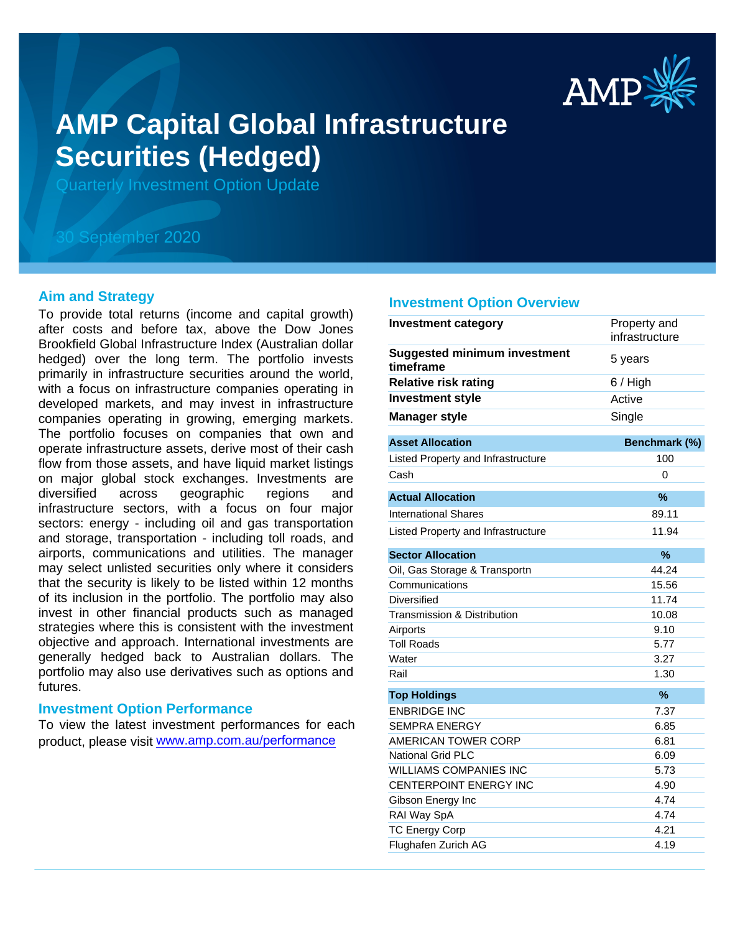

# **AMP Capital Global Infrastructure Securities (Hedged)**

Quarterly Investment Option Update

# 30 September 2020

# **Aim and Strategy**

To provide total returns (income and capital growth) after costs and before tax, above the Dow Jones Brookfield Global Infrastructure Index (Australian dollar hedged) over the long term. The portfolio invests primarily in infrastructure securities around the world, with a focus on infrastructure companies operating in developed markets, and may invest in infrastructure companies operating in growing, emerging markets. The portfolio focuses on companies that own and operate infrastructure assets, derive most of their cash flow from those assets, and have liquid market listings on major global stock exchanges. Investments are diversified across geographic regions and infrastructure sectors, with a focus on four major sectors: energy - including oil and gas transportation and storage, transportation - including toll roads, and airports, communications and utilities. The manager may select unlisted securities only where it considers that the security is likely to be listed within 12 months of its inclusion in the portfolio. The portfolio may also invest in other financial products such as managed strategies where this is consistent with the investment objective and approach. International investments are generally hedged back to Australian dollars. The portfolio may also use derivatives such as options and futures.

#### **Investment Option Performance**

To view the latest investment performances for each product, please visit www.amp.com.au/performance

#### **Investment Option Overview**

| <b>Investment category</b>                       | Property and<br>infrastructure |
|--------------------------------------------------|--------------------------------|
| <b>Suggested minimum investment</b><br>timeframe | 5 years                        |
| <b>Relative risk rating</b>                      | 6 / High                       |
| <b>Investment style</b>                          | Active                         |
| <b>Manager style</b>                             | Single                         |
| <b>Asset Allocation</b>                          | Benchmark (%)                  |
| Listed Property and Infrastructure               | 100                            |
| Cash                                             | 0                              |
| <b>Actual Allocation</b>                         | %                              |
| <b>International Shares</b>                      | 89.11                          |
| Listed Property and Infrastructure               | 11.94                          |
| <b>Sector Allocation</b>                         | %                              |
| Oil, Gas Storage & Transportn                    | 44.24                          |
| Communications                                   | 15.56                          |
| Diversified                                      | 11.74                          |
| <b>Transmission &amp; Distribution</b>           | 10.08                          |
| Airports                                         | 9.10                           |
| <b>Toll Roads</b>                                | 5.77                           |
| Water                                            | 3.27                           |
| Rail                                             | 1.30                           |
| <b>Top Holdings</b>                              | $\%$                           |
| <b>ENBRIDGE INC</b>                              | 7.37                           |
| <b>SEMPRA ENERGY</b>                             | 6.85                           |
| <b>AMERICAN TOWER CORP</b>                       | 6.81                           |
| <b>National Grid PLC</b>                         | 6.09                           |
| <b>WILLIAMS COMPANIES INC</b>                    | 5.73                           |
| CENTERPOINT ENERGY INC                           | 4.90                           |
| Gibson Energy Inc                                | 4.74                           |
| RAI Way SpA                                      | 4.74                           |
| <b>TC Energy Corp</b>                            | 4.21                           |
| Flughafen Zurich AG                              | 4.19                           |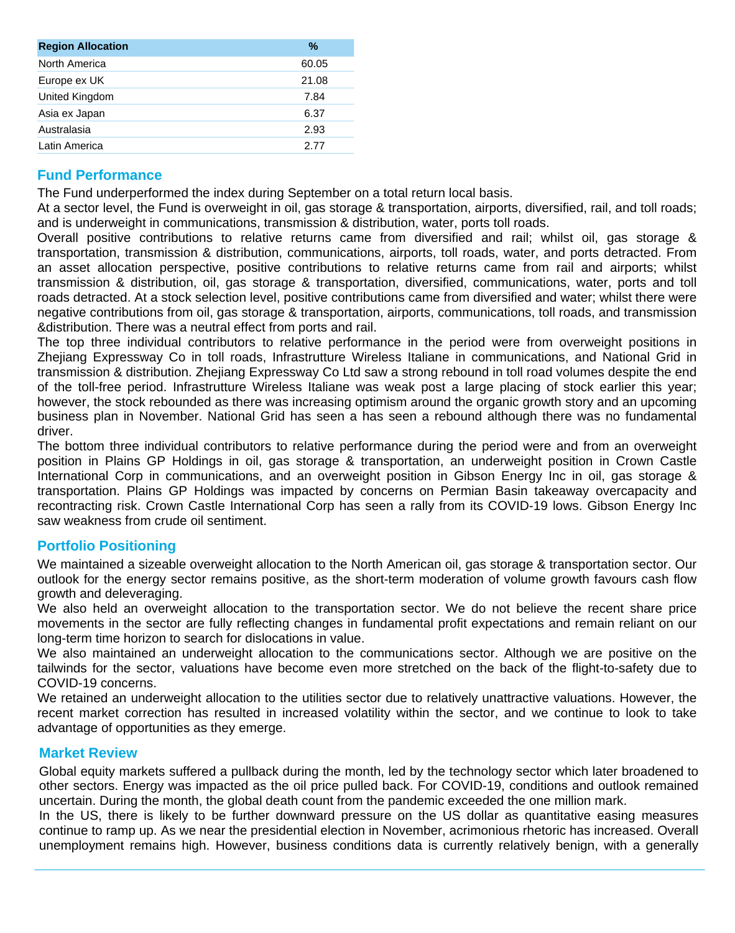| <b>Region Allocation</b> | %     |
|--------------------------|-------|
| North America            | 60.05 |
| Europe ex UK             | 21.08 |
| United Kingdom           | 7.84  |
| Asia ex Japan            | 6.37  |
| Australasia              | 2.93  |
| Latin America            | 2.77  |

# **Fund Performance**

The Fund underperformed the index during September on a total return local basis.

At a sector level, the Fund is overweight in oil, gas storage & transportation, airports, diversified, rail, and toll roads; and is underweight in communications, transmission & distribution, water, ports toll roads.

Overall positive contributions to relative returns came from diversified and rail; whilst oil, gas storage & transportation, transmission & distribution, communications, airports, toll roads, water, and ports detracted. From an asset allocation perspective, positive contributions to relative returns came from rail and airports; whilst transmission & distribution, oil, gas storage & transportation, diversified, communications, water, ports and toll roads detracted. At a stock selection level, positive contributions came from diversified and water; whilst there were negative contributions from oil, gas storage & transportation, airports, communications, toll roads, and transmission &distribution. There was a neutral effect from ports and rail.

The top three individual contributors to relative performance in the period were from overweight positions in Zhejiang Expressway Co in toll roads, Infrastrutture Wireless Italiane in communications, and National Grid in transmission & distribution. Zhejiang Expressway Co Ltd saw a strong rebound in toll road volumes despite the end of the toll-free period. Infrastrutture Wireless Italiane was weak post a large placing of stock earlier this year; however, the stock rebounded as there was increasing optimism around the organic growth story and an upcoming business plan in November. National Grid has seen a has seen a rebound although there was no fundamental driver.

The bottom three individual contributors to relative performance during the period were and from an overweight position in Plains GP Holdings in oil, gas storage & transportation, an underweight position in Crown Castle International Corp in communications, and an overweight position in Gibson Energy Inc in oil, gas storage & transportation. Plains GP Holdings was impacted by concerns on Permian Basin takeaway overcapacity and recontracting risk. Crown Castle International Corp has seen a rally from its COVID-19 lows. Gibson Energy Inc saw weakness from crude oil sentiment.

# **Portfolio Positioning**

We maintained a sizeable overweight allocation to the North American oil, gas storage & transportation sector. Our outlook for the energy sector remains positive, as the short-term moderation of volume growth favours cash flow growth and deleveraging.

We also held an overweight allocation to the transportation sector. We do not believe the recent share price movements in the sector are fully reflecting changes in fundamental profit expectations and remain reliant on our long-term time horizon to search for dislocations in value.

We also maintained an underweight allocation to the communications sector. Although we are positive on the tailwinds for the sector, valuations have become even more stretched on the back of the flight-to-safety due to COVID-19 concerns.

We retained an underweight allocation to the utilities sector due to relatively unattractive valuations. However, the recent market correction has resulted in increased volatility within the sector, and we continue to look to take advantage of opportunities as they emerge.

# **Market Review**

Global equity markets suffered a pullback during the month, led by the technology sector which later broadened to other sectors. Energy was impacted as the oil price pulled back. For COVID-19, conditions and outlook remained uncertain. During the month, the global death count from the pandemic exceeded the one million mark.

In the US, there is likely to be further downward pressure on the US dollar as quantitative easing measures continue to ramp up. As we near the presidential election in November, acrimonious rhetoric has increased. Overall unemployment remains high. However, business conditions data is currently relatively benign, with a generally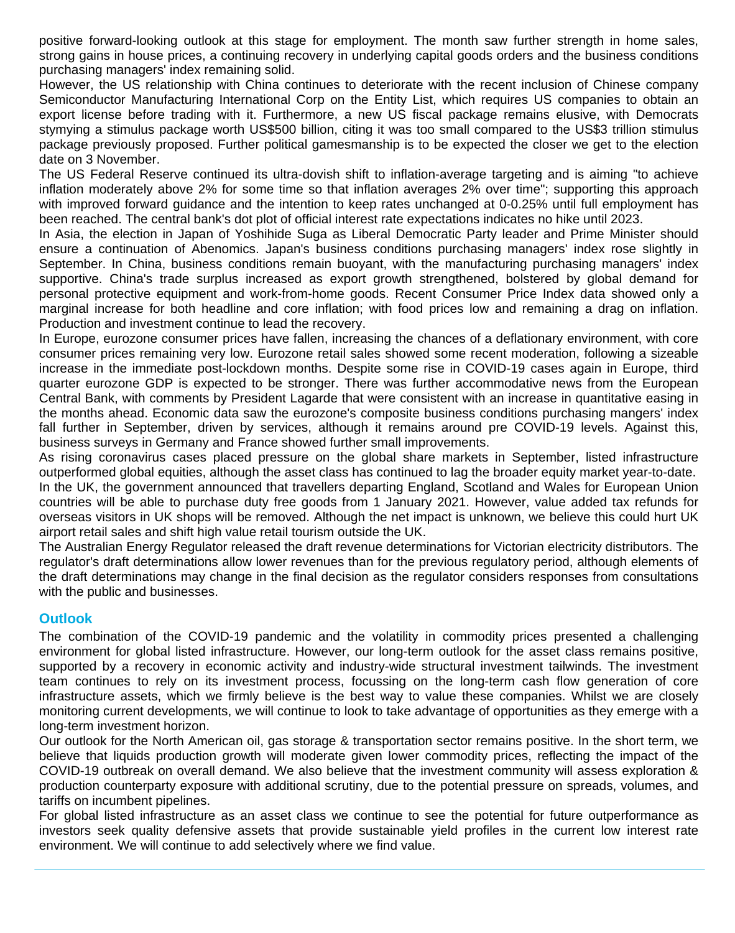positive forward-looking outlook at this stage for employment. The month saw further strength in home sales, strong gains in house prices, a continuing recovery in underlying capital goods orders and the business conditions purchasing managers' index remaining solid.

However, the US relationship with China continues to deteriorate with the recent inclusion of Chinese company Semiconductor Manufacturing International Corp on the Entity List, which requires US companies to obtain an export license before trading with it. Furthermore, a new US fiscal package remains elusive, with Democrats stymying a stimulus package worth US\$500 billion, citing it was too small compared to the US\$3 trillion stimulus package previously proposed. Further political gamesmanship is to be expected the closer we get to the election date on 3 November.

The US Federal Reserve continued its ultra-dovish shift to inflation-average targeting and is aiming "to achieve inflation moderately above 2% for some time so that inflation averages 2% over time"; supporting this approach with improved forward guidance and the intention to keep rates unchanged at 0-0.25% until full employment has been reached. The central bank's dot plot of official interest rate expectations indicates no hike until 2023.

In Asia, the election in Japan of Yoshihide Suga as Liberal Democratic Party leader and Prime Minister should ensure a continuation of Abenomics. Japan's business conditions purchasing managers' index rose slightly in September. In China, business conditions remain buoyant, with the manufacturing purchasing managers' index supportive. China's trade surplus increased as export growth strengthened, bolstered by global demand for personal protective equipment and work-from-home goods. Recent Consumer Price Index data showed only a marginal increase for both headline and core inflation; with food prices low and remaining a drag on inflation. Production and investment continue to lead the recovery.

In Europe, eurozone consumer prices have fallen, increasing the chances of a deflationary environment, with core consumer prices remaining very low. Eurozone retail sales showed some recent moderation, following a sizeable increase in the immediate post-lockdown months. Despite some rise in COVID-19 cases again in Europe, third quarter eurozone GDP is expected to be stronger. There was further accommodative news from the European Central Bank, with comments by President Lagarde that were consistent with an increase in quantitative easing in the months ahead. Economic data saw the eurozone's composite business conditions purchasing mangers' index fall further in September, driven by services, although it remains around pre COVID-19 levels. Against this, business surveys in Germany and France showed further small improvements.

As rising coronavirus cases placed pressure on the global share markets in September, listed infrastructure outperformed global equities, although the asset class has continued to lag the broader equity market year-to-date. In the UK, the government announced that travellers departing England, Scotland and Wales for European Union countries will be able to purchase duty free goods from 1 January 2021. However, value added tax refunds for overseas visitors in UK shops will be removed. Although the net impact is unknown, we believe this could hurt UK airport retail sales and shift high value retail tourism outside the UK.

The Australian Energy Regulator released the draft revenue determinations for Victorian electricity distributors. The regulator's draft determinations allow lower revenues than for the previous regulatory period, although elements of the draft determinations may change in the final decision as the regulator considers responses from consultations with the public and businesses.

# **Outlook**

The combination of the COVID-19 pandemic and the volatility in commodity prices presented a challenging environment for global listed infrastructure. However, our long-term outlook for the asset class remains positive, supported by a recovery in economic activity and industry-wide structural investment tailwinds. The investment team continues to rely on its investment process, focussing on the long-term cash flow generation of core infrastructure assets, which we firmly believe is the best way to value these companies. Whilst we are closely monitoring current developments, we will continue to look to take advantage of opportunities as they emerge with a long-term investment horizon.

Our outlook for the North American oil, gas storage & transportation sector remains positive. In the short term, we believe that liquids production growth will moderate given lower commodity prices, reflecting the impact of the COVID-19 outbreak on overall demand. We also believe that the investment community will assess exploration & production counterparty exposure with additional scrutiny, due to the potential pressure on spreads, volumes, and tariffs on incumbent pipelines.

For global listed infrastructure as an asset class we continue to see the potential for future outperformance as investors seek quality defensive assets that provide sustainable yield profiles in the current low interest rate environment. We will continue to add selectively where we find value.